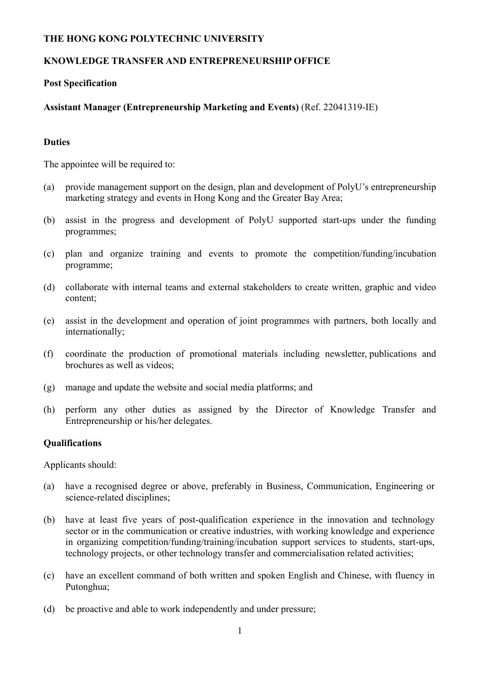## **THE HONG KONG POLYTECHNIC UNIVERSITY**

# **KNOWLEDGE TRANSFER AND ENTREPRENEURSHIP OFFICE**

### **Post Specification**

# **Assistant Manager (Entrepreneurship Marketing and Events)** (Ref. 22041319-IE)

#### **Duties**

The appointee will be required to:

- (a) provide management support on the design, plan and development of PolyU's entrepreneurship marketing strategy and events in Hong Kong and the Greater Bay Area;
- (b) assist in the progress and development of PolyU supported start-ups under the funding programmes;
- (c) plan and organize training and events to promote the competition/funding/incubation programme;
- (d) collaborate with internal teams and external stakeholders to create written, graphic and video content;
- (e) assist in the development and operation of joint programmes with partners, both locally and internationally;
- (f) coordinate the production of promotional materials including newsletter, publications and brochures as well as videos;
- (g) manage and update the website and social media platforms; and
- (h) perform any other duties as assigned by the Director of Knowledge Transfer and Entrepreneurship or his/her delegates.

#### **Qualifications**

Applicants should:

- (a) have a recognised degree or above, preferably in Business, Communication, Engineering or science-related disciplines;
- (b) have at least five years of post-qualification experience in the innovation and technology sector or in the communication or creative industries, with working knowledge and experience in organizing competition/funding/training/incubation support services to students, start-ups, technology projects, or other technology transfer and commercialisation related activities;
- (c) have an excellent command of both written and spoken English and Chinese, with fluency in Putonghua;
- (d) be proactive and able to work independently and under pressure;